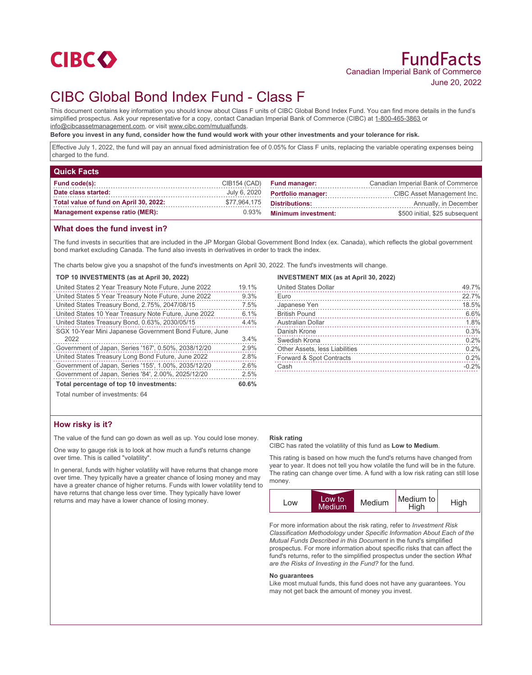

# FundFacts Canadian Imperial Bank of Commerce June 20, 2022

# CIBC Global Bond Index Fund - Class F

This document contains key information you should know about Class F units of CIBC Global Bond Index Fund. You can find more details in the fund's simplified prospectus. Ask your representative for a copy, contact Canadian Imperial Bank of Commerce (CIBC) at 1-800-465-3863 or info@cibcassetmanagement.com, or visit www.cibc.com/mutualfunds.

**Before you invest in any fund, consider how the fund would work with your other investments and your tolerance for risk.**

Effective July 1, 2022, the fund will pay an annual fixed administration fee of 0.05% for Class F units, replacing the variable operating expenses being charged to the fund.

| <b>Quick Facts</b>                     |              |                            |                                    |
|----------------------------------------|--------------|----------------------------|------------------------------------|
| Fund code(s):                          | CIB154 (CAD) | <b>Fund manager:</b>       | Canadian Imperial Bank of Commerce |
| Date class started:                    | July 6, 2020 | <b>Portfolio manager:</b>  | CIBC Asset Management Inc.         |
| Total value of fund on April 30, 2022: | \$77,964,175 | <b>Distributions:</b>      | Annually, in December              |
| <b>Management expense ratio (MER):</b> | $0.93\%$     | <b>Minimum investment:</b> | \$500 initial, \$25 subsequent     |

## **What does the fund invest in?**

The fund invests in securities that are included in the JP Morgan Global Government Bond Index (ex. Canada), which reflects the global government bond market excluding Canada. The fund also invests in derivatives in order to track the index.

The charts below give you a snapshot of the fund's investments on April 30, 2022. The fund's investments will change.

### **TOP 10 INVESTMENTS (as at April 30, 2022)**

| United States 2 Year Treasury Note Future, June 2022   | 19.1% |
|--------------------------------------------------------|-------|
| United States 5 Year Treasury Note Future, June 2022   | 9.3%  |
| United States Treasury Bond, 2.75%, 2047/08/15         | 7.5%  |
| United States 10 Year Treasury Note Future, June 2022  | 6.1%  |
| United States Treasury Bond, 0.63%, 2030/05/15         | 4.4%  |
| SGX 10-Year Mini Japanese Government Bond Future, June |       |
| 2022                                                   | 3.4%  |
| Government of Japan, Series '167', 0.50%, 2038/12/20   | 2.9%  |
| United States Treasury Long Bond Future, June 2022     | 2.8%  |
| Government of Japan, Series '155', 1.00%, 2035/12/20   | 2.6%  |
| Government of Japan, Series '84', 2.00%, 2025/12/20    | 2.5%  |
| Total percentage of top 10 investments:                | 60.6% |

Total number of investments: 64

# **How risky is it?**

The value of the fund can go down as well as up. You could lose money.

One way to gauge risk is to look at how much a fund's returns change over time. This is called "volatility".

In general, funds with higher volatility will have returns that change more over time. They typically have a greater chance of losing money and may have a greater chance of higher returns. Funds with lower volatility tend to have returns that change less over time. They typically have lower returns and may have a lower chance of losing money.

#### **INVESTMENT MIX (as at April 30, 2022)**

| <b>United States Dollar</b>                                                                                                                                                                                                                    | 49.7%   |
|------------------------------------------------------------------------------------------------------------------------------------------------------------------------------------------------------------------------------------------------|---------|
| Euro                                                                                                                                                                                                                                           | 22.7%   |
| Japanese Yen                                                                                                                                                                                                                                   | 18.5%   |
| <b>British Pound</b>                                                                                                                                                                                                                           | 6.6%    |
| Australian Dollar                                                                                                                                                                                                                              | 1.8%    |
| Danish Krone                                                                                                                                                                                                                                   | 0.3%    |
| Swedish Krona<br>and a construction of the construction of the construction of the construction of the construction of the construction of the construction of the construction of the construction of the construction of the construction of | 0.2%    |
| <b>Other Assets, less Liabilities</b>                                                                                                                                                                                                          | 0.2%    |
| Forward & Spot Contracts                                                                                                                                                                                                                       | 0.2%    |
| Cash                                                                                                                                                                                                                                           | $-0.2%$ |
|                                                                                                                                                                                                                                                |         |

#### **Risk rating**

CIBC has rated the volatility of this fund as **Low to Medium**.

This rating is based on how much the fund's returns have changed from year to year. It does not tell you how volatile the fund will be in the future. The rating can change over time. A fund with a low risk rating can still lose money.



For more information about the risk rating, refer to *Investment Risk Classification Methodology* under *Specific Information About Each of the Mutual Funds Described in this Document* in the fund's simplified prospectus. For more information about specific risks that can affect the fund's returns, refer to the simplified prospectus under the section *What are the Risks of Investing in the Fund?* for the fund.

#### **No guarantees**

Like most mutual funds, this fund does not have any guarantees. You may not get back the amount of money you invest.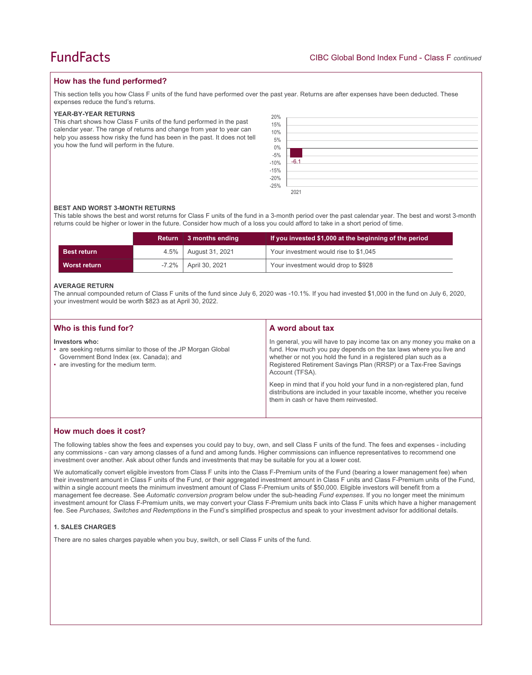# **How has the fund performed?**

This section tells you how Class F units of the fund have performed over the past year. Returns are after expenses have been deducted. These expenses reduce the fund's returns.

### **YEAR-BY-YEAR RETURNS**

This chart shows how Class F units of the fund performed in the past calendar year. The range of returns and change from year to year can help you assess how risky the fund has been in the past. It does not tell you how the fund will perform in the future.

| 20%<br>15%                                         |        |  |
|----------------------------------------------------|--------|--|
| 10%                                                |        |  |
| 5%                                                 |        |  |
| $0\%$                                              |        |  |
| $-5\%$<br>$-10\%$<br>$-15\%$<br>$-20\%$<br>$-25\%$ | $-6.1$ |  |
|                                                    |        |  |
|                                                    |        |  |
|                                                    | 2021   |  |

#### **BEST AND WORST 3-MONTH RETURNS**

This table shows the best and worst returns for Class F units of the fund in a 3-month period over the past calendar year. The best and worst 3-month returns could be higher or lower in the future. Consider how much of a loss you could afford to take in a short period of time.

|                    | <b>Return</b> | ∣ 3 months ending | If you invested \$1,000 at the beginning of the period |
|--------------------|---------------|-------------------|--------------------------------------------------------|
| <b>Best return</b> | $4.5\%$       | August 31, 2021   | Your investment would rise to \$1,045                  |
| Worst return       | $-7.2\%$      | April 30, 2021    | Your investment would drop to \$928                    |

#### **AVERAGE RETURN**

The annual compounded return of Class F units of the fund since July 6, 2020 was -10.1%. If you had invested \$1,000 in the fund on July 6, 2020, your investment would be worth \$823 as at April 30, 2022.

| Who is this fund for?                                                                                                                                               | A word about tax                                                                                                                                                                                                                                                                                                                                                                                                                                                                                  |
|---------------------------------------------------------------------------------------------------------------------------------------------------------------------|---------------------------------------------------------------------------------------------------------------------------------------------------------------------------------------------------------------------------------------------------------------------------------------------------------------------------------------------------------------------------------------------------------------------------------------------------------------------------------------------------|
| Investors who:<br>• are seeking returns similar to those of the JP Morgan Global<br>Government Bond Index (ex. Canada); and<br>• are investing for the medium term. | In general, you will have to pay income tax on any money you make on a<br>fund. How much you pay depends on the tax laws where you live and<br>whether or not you hold the fund in a registered plan such as a<br>Registered Retirement Savings Plan (RRSP) or a Tax-Free Savings<br>Account (TFSA).<br>Keep in mind that if you hold your fund in a non-registered plan, fund<br>distributions are included in your taxable income, whether you receive<br>them in cash or have them reinvested. |

# **How much does it cost?**

The following tables show the fees and expenses you could pay to buy, own, and sell Class F units of the fund. The fees and expenses - including any commissions - can vary among classes of a fund and among funds. Higher commissions can influence representatives to recommend one investment over another. Ask about other funds and investments that may be suitable for you at a lower cost.

We automatically convert eligible investors from Class F units into the Class F-Premium units of the Fund (bearing a lower management fee) when their investment amount in Class F units of the Fund, or their aggregated investment amount in Class F units and Class F-Premium units of the Fund, within a single account meets the minimum investment amount of Class F-Premium units of \$50,000. Eligible investors will benefit from a management fee decrease. See *Automatic conversion program* below under the sub-heading *Fund expenses*. If you no longer meet the minimum investment amount for Class F-Premium units, we may convert your Class F-Premium units back into Class F units which have a higher management fee. See *Purchases, Switches and Redemptions* in the Fund's simplified prospectus and speak to your investment advisor for additional details.

### **1. SALES CHARGES**

There are no sales charges payable when you buy, switch, or sell Class F units of the fund.